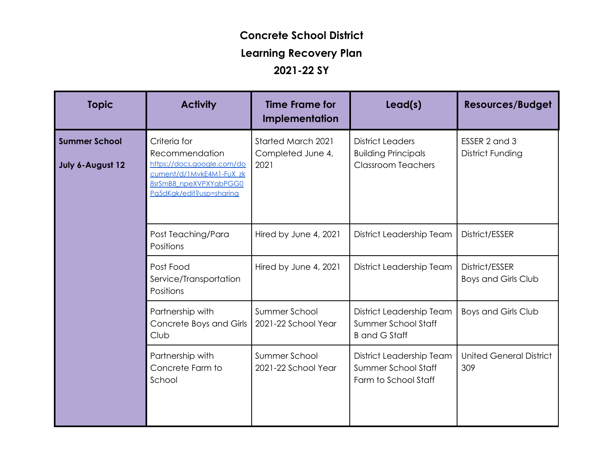## **Concrete School District Learning Recovery Plan**

## **2021-22 SY**

| <b>Topic</b>                             | <b>Activity</b>                                                                                                                                | <b>Time Frame for</b><br><b>Implementation</b>         | lead(s)                                                                            | <b>Resources/Budget</b>                      |
|------------------------------------------|------------------------------------------------------------------------------------------------------------------------------------------------|--------------------------------------------------------|------------------------------------------------------------------------------------|----------------------------------------------|
| <b>Summer School</b><br>July 6-August 12 | Criteria for<br>Recommendation<br>https://docs.google.com/do<br>cument/d/1MvkE4M1-FuX_zk<br>8srSmB8_npeXVPXYqbPGG0<br>Pa5dKak/edit?usp=sharing | <b>Started March 2021</b><br>Completed June 4,<br>2021 | <b>District Leaders</b><br><b>Building Principals</b><br><b>Classroom Teachers</b> | ESSER 2 and 3<br><b>District Funding</b>     |
|                                          | Post Teaching/Para<br>Positions                                                                                                                | Hired by June 4, 2021                                  | District Leadership Team                                                           | District/ESSER                               |
|                                          | Post Food<br>Service/Transportation<br>Positions                                                                                               | Hired by June 4, 2021                                  | District Leadership Team                                                           | District/ESSER<br><b>Boys and Girls Club</b> |
|                                          | Partnership with<br>Concrete Boys and Girls<br>Club                                                                                            | Summer School<br>2021-22 School Year                   | District Leadership Team<br>Summer School Staff<br><b>B</b> and G Staff            | <b>Boys and Girls Club</b>                   |
|                                          | Partnership with<br>Concrete Farm to<br>School                                                                                                 | Summer School<br>2021-22 School Year                   | District Leadership Team<br>Summer School Staff<br>Farm to School Staff            | <b>United General District</b><br>309        |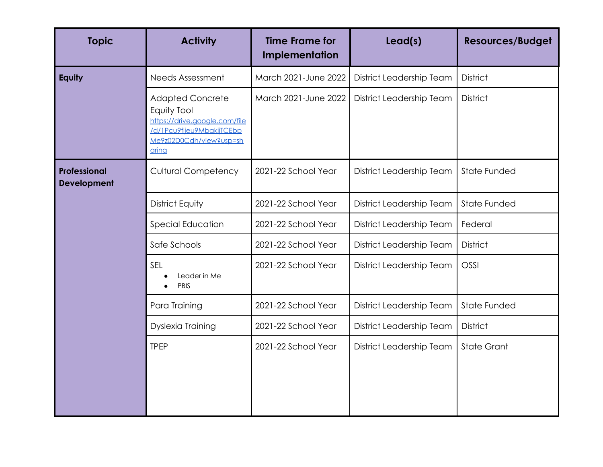| <b>Topic</b>                       | <b>Activity</b>                                                                                                                          | <b>Time Frame for</b><br>Implementation | Lead(s)                  | <b>Resources/Budget</b> |
|------------------------------------|------------------------------------------------------------------------------------------------------------------------------------------|-----------------------------------------|--------------------------|-------------------------|
| Equity                             | Needs Assessment                                                                                                                         | March 2021-June 2022                    | District Leadership Team | <b>District</b>         |
|                                    | <b>Adapted Concrete</b><br>Equity Tool<br>https://drive.google.com/file<br>/d/1Pcu9flieu9MbakijTCEbp<br>Me9z02D0Cdh/view?usp=sh<br>aring | March 2021-June 2022                    | District Leadership Team | <b>District</b>         |
| Professional<br><b>Development</b> | <b>Cultural Competency</b>                                                                                                               | 2021-22 School Year                     | District Leadership Team | State Funded            |
|                                    | District Equity                                                                                                                          | 2021-22 School Year                     | District Leadership Team | State Funded            |
|                                    | <b>Special Education</b>                                                                                                                 | 2021-22 School Year                     | District Leadership Team | Federal                 |
|                                    | Safe Schools                                                                                                                             | 2021-22 School Year                     | District Leadership Team | <b>District</b>         |
|                                    | SEL<br>Leader in Me<br>PBIS                                                                                                              | 2021-22 School Year                     | District Leadership Team | OSSI                    |
|                                    | Para Training                                                                                                                            | 2021-22 School Year                     | District Leadership Team | <b>State Funded</b>     |
|                                    | Dyslexia Training                                                                                                                        | 2021-22 School Year                     | District Leadership Team | <b>District</b>         |
|                                    | <b>TPEP</b>                                                                                                                              | 2021-22 School Year                     | District Leadership Team | <b>State Grant</b>      |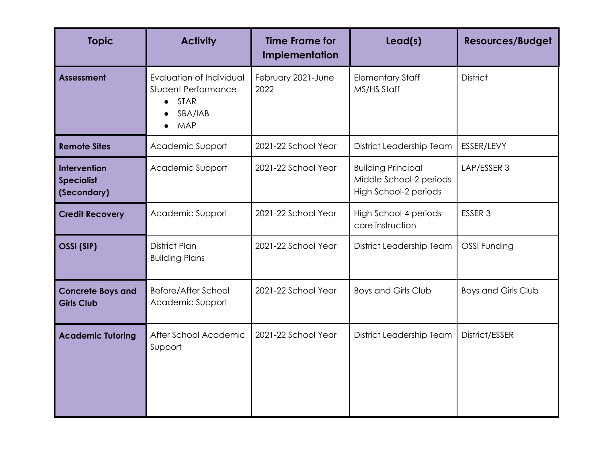| <b>Topic</b>                                     | <b>Activity</b>                                                                         | <b>Time Frame for</b><br>Implementation | Lead(s)                                                                       | <b>Resources/Budget</b>    |
|--------------------------------------------------|-----------------------------------------------------------------------------------------|-----------------------------------------|-------------------------------------------------------------------------------|----------------------------|
| <b>Assessment</b>                                | Evaluation of Individual<br>Student Performance<br><b>STAR</b><br>SBA/IAB<br><b>MAP</b> | February 2021-June<br>2022              | <b>Elementary Staff</b><br>MS/HS Staff                                        | <b>District</b>            |
| <b>Remote Sites</b>                              | Academic Support                                                                        | 2021-22 School Year                     | District Leadership Team                                                      | ESSER/LEVY                 |
| Intervention<br><b>Specialist</b><br>(Secondary) | Academic Support                                                                        | 2021-22 School Year                     | <b>Building Principal</b><br>Middle School-2 periods<br>High School-2 periods | LAP/ESSER 3                |
| <b>Credit Recovery</b>                           | Academic Support                                                                        | 2021-22 School Year                     | High School-4 periods<br>core instruction                                     | ESSER <sub>3</sub>         |
| OSSI (SIP)                                       | <b>District Plan</b><br><b>Building Plans</b>                                           | 2021-22 School Year                     | District Leadership Team                                                      | OSSI Funding               |
| <b>Concrete Boys and</b><br><b>Girls Club</b>    | Before/After School<br>Academic Support                                                 | 2021-22 School Year                     | <b>Boys and Girls Club</b>                                                    | <b>Boys and Girls Club</b> |
| <b>Academic Tutoring</b>                         | After School Academic<br>Support                                                        | 2021-22 School Year                     | District Leadership Team                                                      | District/ESSER             |